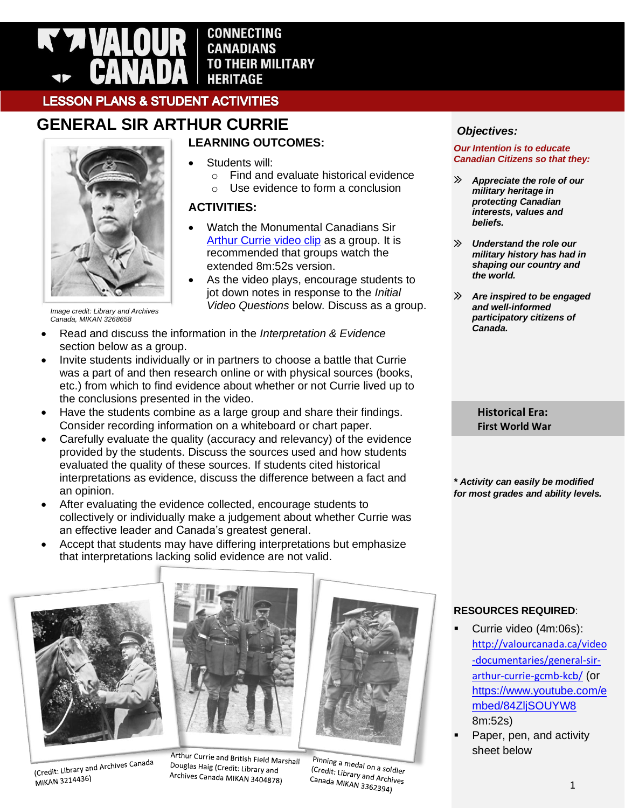

**CONNECTING CANADIANS TO THEIR MILITARY HERITAGE** 

Students will:

**ACTIVITIES:**

o Find and evaluate historical evidence  $\circ$  Use evidence to form a conclusion

• Watch the Monumental Canadians Sir [Arthur Currie video clip](https://www.youtube.com/watch?v=84ZljSOUYW8) as a group. It is recommended that groups watch the

• As the video plays, encourage students to jot down notes in response to the *Initial Video Questions* below. Discuss as a group.

extended 8m:52s version.

# **LESSON PLANS & STUDENT ACTIVITIES**

# **GENERAL SIR ARTHUR CURRIE LEARNING OUTCOMES:**

*Image credit: Library and Archives Canada, MIKAN 3268658*

- Read and discuss the information in the *Interpretation & Evidence* section below as a group.
- Invite students individually or in partners to choose a battle that Currie was a part of and then research online or with physical sources (books, etc.) from which to find evidence about whether or not Currie lived up to the conclusions presented in the video.
- Have the students combine as a large group and share their findings. Consider recording information on a whiteboard or chart paper.
- Carefully evaluate the quality (accuracy and relevancy) of the evidence provided by the students. Discuss the sources used and how students evaluated the quality of these sources. If students cited historical interpretations as evidence, discuss the difference between a fact and an opinion.
- After evaluating the evidence collected, encourage students to collectively or individually make a judgement about whether Currie was an effective leader and Canada's greatest general.
- Accept that students may have differing interpretations but emphasize that interpretations lacking solid evidence are not valid.



(Credit: Library and Archives Canada MIKAN 3214436)



Arthur Currie and British Field Marshall Douglas Haig (Credit: Library and Archives Canada MIKAN 3404878)

Pinning a medal on a soldier<br>(Credit: Library and a soldier Credit: Library and Archives<br>Credit: Library and Archives<br>Canada MIKAN 336229. Canada MIKAN 3362394)

# *Objectives:*

#### *Our Intention is to educate Canadian Citizens so that they:*

- $\gg$ *Appreciate the role of our military heritage in protecting Canadian interests, values and beliefs.*
- $\mathcal{D}$ *Understand the role our military history has had in shaping our country and the world.*
- $\gg$ *Are inspired to be engaged and well-informed participatory citizens of Canada.*

**Historical Era: First World War**

*\* Activity can easily be modified for most grades and ability levels.*

# **RESOURCES REQUIRED**:

- Currie video (4m:06s): [http://valourcanada.ca/video](http://valourcanada.ca/video-documentaries/general-sir-arthur-currie-gcmb-kcb/) [-documentaries/general-sir](http://valourcanada.ca/video-documentaries/general-sir-arthur-currie-gcmb-kcb/)[arthur-currie-gcmb-kcb/](http://valourcanada.ca/video-documentaries/general-sir-arthur-currie-gcmb-kcb/) (or [https://www.youtube.com/e](https://www.youtube.com/embed/84ZljSOUYW8) [mbed/84ZljSOUYW8](https://www.youtube.com/embed/84ZljSOUYW8) 8m:52s)
- Paper, pen, and activity sheet below